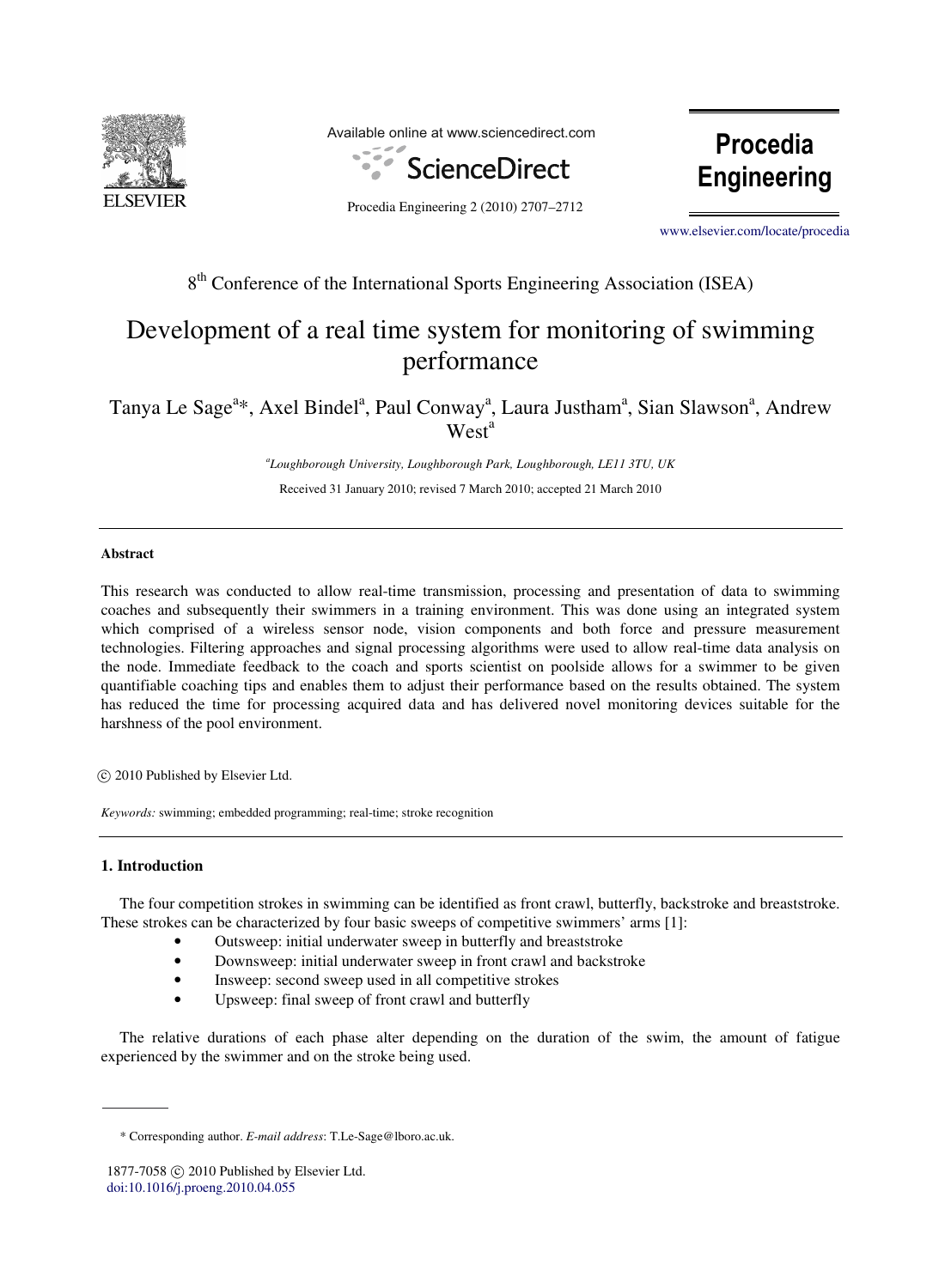

Available online at www.sciencedirect.com



Procedia Engineering

Procedia Engineering 2 (2010) 2707-2712

www.elsevier.com/locate/procedia [www.elsevier.com/locate/procedia](http://www.elsevier.com/locate/procedia)

## 8<sup>th</sup> Conference of the International Sports Engineering Association (ISEA)

## Development of a real time system for monitoring of swimming performance

## Tanya Le Sage<sup>a\*</sup>, Axel Bindel<sup>a</sup>, Paul Conway<sup>a</sup>, Laura Justham<sup>a</sup>, Sian Slawson<sup>a</sup>, Andrew West<sup>a</sup>

*a Loughborough University, Loughborough Park, Loughborough, LE11 3TU, UK*  Received 31 January 2010; revised 7 March 2010; accepted 21 March 2010

#### **Abstract**

This research was conducted to allow real-time transmission, processing and presentation of data to swimming coaches and subsequently their swimmers in a training environment. This was done using an integrated system which comprised of a wireless sensor node, vision components and both force and pressure measurement technologies. Filtering approaches and signal processing algorithms were used to allow real-time data analysis on the node. Immediate feedback to the coach and sports scientist on poolside allows for a swimmer to be given quantifiable coaching tips and enables them to adjust their performance based on the results obtained. The system has reduced the time for processing acquired data and has delivered novel monitoring devices suitable for the harshness of the pool environment.

© 2009 Published by Elsevier Ltd. c 2010 Published by Elsevier Ltd.

*Keywords:* swimming; embedded programming; real-time; stroke recognition

#### **1. Introduction**

The four competition strokes in swimming can be identified as front crawl, butterfly, backstroke and breaststroke. These strokes can be characterized by four basic sweeps of competitive swimmers' arms [1]:

- Outsweep: initial underwater sweep in butterfly and breaststroke
- Downsweep: initial underwater sweep in front crawl and backstroke
- Insweep: second sweep used in all competitive strokes
- Upsweep: final sweep of front crawl and butterfly

The relative durations of each phase alter depending on the duration of the swim, the amount of fatigue experienced by the swimmer and on the stroke being used.

<sup>\*</sup> Corresponding author. *E-mail address*: T.Le-Sage@lboro.ac.uk.

<sup>1877-7058 © 2010</sup> Published by Elsevier Ltd. [doi:10.1016/j.proeng.2010.04.055](http://dx.doi.org/10.1016/j.proeng.2010.04.055)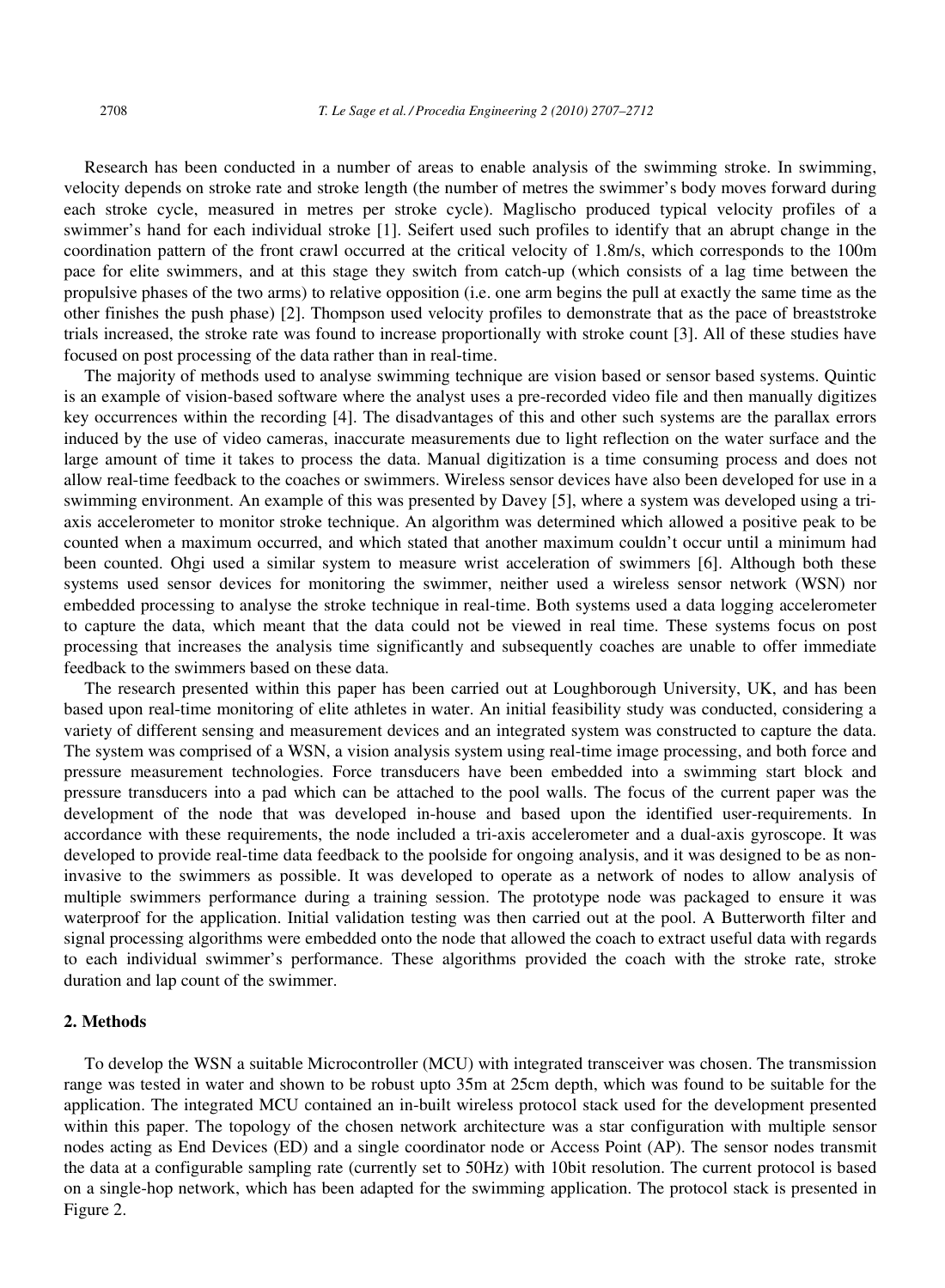Research has been conducted in a number of areas to enable analysis of the swimming stroke. In swimming, velocity depends on stroke rate and stroke length (the number of metres the swimmer's body moves forward during each stroke cycle, measured in metres per stroke cycle). Maglischo produced typical velocity profiles of a swimmer's hand for each individual stroke [1]. Seifert used such profiles to identify that an abrupt change in the coordination pattern of the front crawl occurred at the critical velocity of 1.8m/s, which corresponds to the 100m pace for elite swimmers, and at this stage they switch from catch-up (which consists of a lag time between the propulsive phases of the two arms) to relative opposition (i.e. one arm begins the pull at exactly the same time as the other finishes the push phase) [2]. Thompson used velocity profiles to demonstrate that as the pace of breaststroke trials increased, the stroke rate was found to increase proportionally with stroke count [3]. All of these studies have focused on post processing of the data rather than in real-time.

The majority of methods used to analyse swimming technique are vision based or sensor based systems. Quintic is an example of vision-based software where the analyst uses a pre-recorded video file and then manually digitizes key occurrences within the recording [4]. The disadvantages of this and other such systems are the parallax errors induced by the use of video cameras, inaccurate measurements due to light reflection on the water surface and the large amount of time it takes to process the data. Manual digitization is a time consuming process and does not allow real-time feedback to the coaches or swimmers. Wireless sensor devices have also been developed for use in a swimming environment. An example of this was presented by Davey [5], where a system was developed using a triaxis accelerometer to monitor stroke technique. An algorithm was determined which allowed a positive peak to be counted when a maximum occurred, and which stated that another maximum couldn't occur until a minimum had been counted. Ohgi used a similar system to measure wrist acceleration of swimmers [6]. Although both these systems used sensor devices for monitoring the swimmer, neither used a wireless sensor network (WSN) nor embedded processing to analyse the stroke technique in real-time. Both systems used a data logging accelerometer to capture the data, which meant that the data could not be viewed in real time. These systems focus on post processing that increases the analysis time significantly and subsequently coaches are unable to offer immediate feedback to the swimmers based on these data.

The research presented within this paper has been carried out at Loughborough University, UK, and has been based upon real-time monitoring of elite athletes in water. An initial feasibility study was conducted, considering a variety of different sensing and measurement devices and an integrated system was constructed to capture the data. The system was comprised of a WSN, a vision analysis system using real-time image processing, and both force and pressure measurement technologies. Force transducers have been embedded into a swimming start block and pressure transducers into a pad which can be attached to the pool walls. The focus of the current paper was the development of the node that was developed in-house and based upon the identified user-requirements. In accordance with these requirements, the node included a tri-axis accelerometer and a dual-axis gyroscope. It was developed to provide real-time data feedback to the poolside for ongoing analysis, and it was designed to be as noninvasive to the swimmers as possible. It was developed to operate as a network of nodes to allow analysis of multiple swimmers performance during a training session. The prototype node was packaged to ensure it was waterproof for the application. Initial validation testing was then carried out at the pool. A Butterworth filter and signal processing algorithms were embedded onto the node that allowed the coach to extract useful data with regards to each individual swimmer's performance. These algorithms provided the coach with the stroke rate, stroke duration and lap count of the swimmer.

#### **2. Methods**

To develop the WSN a suitable Microcontroller (MCU) with integrated transceiver was chosen. The transmission range was tested in water and shown to be robust upto 35m at 25cm depth, which was found to be suitable for the application. The integrated MCU contained an in-built wireless protocol stack used for the development presented within this paper. The topology of the chosen network architecture was a star configuration with multiple sensor nodes acting as End Devices (ED) and a single coordinator node or Access Point (AP). The sensor nodes transmit the data at a configurable sampling rate (currently set to 50Hz) with 10bit resolution. The current protocol is based on a single-hop network, which has been adapted for the swimming application. The protocol stack is presented in Figure 2.